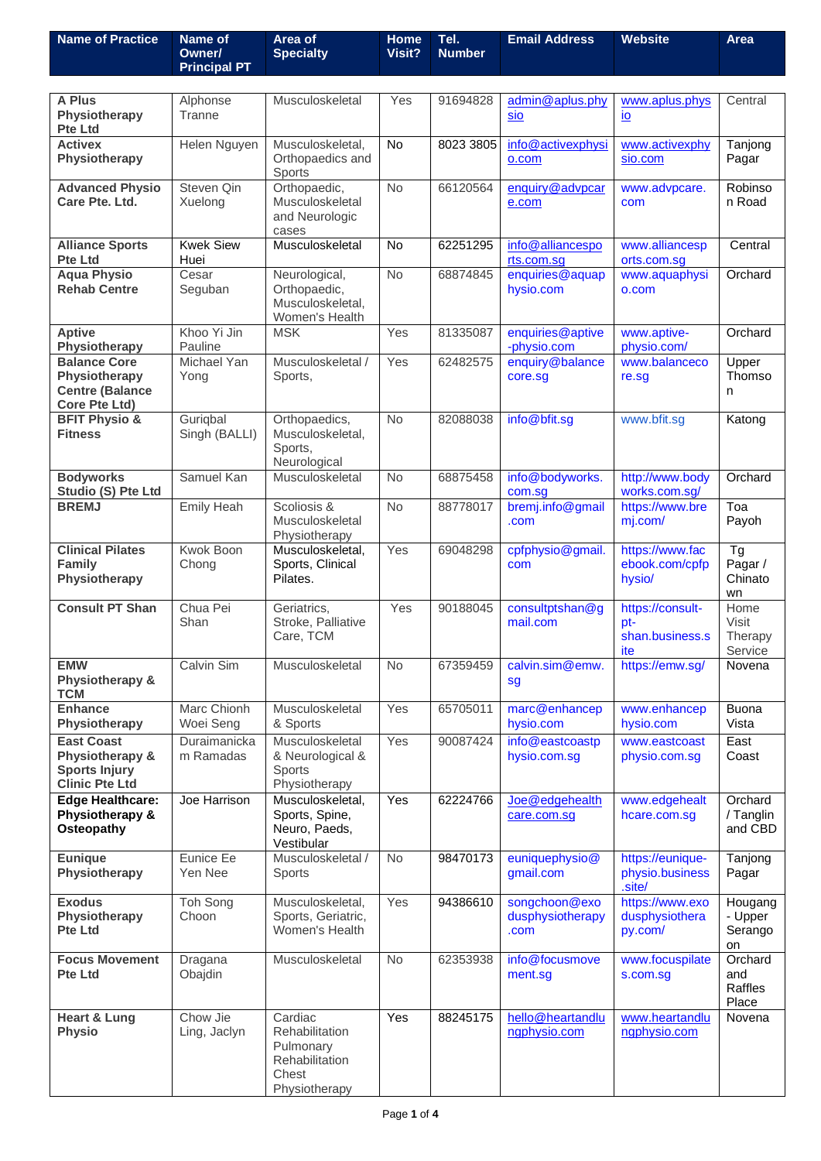| <b>Name of Practice</b>                                                               | Name of<br>Owner/         | Area of<br><b>Specialty</b>                                                        | <b>Home</b><br>Visit? | Tel.<br><b>Number</b> | <b>Email Address</b>                      | <b>Website</b>                                    | Area                                  |
|---------------------------------------------------------------------------------------|---------------------------|------------------------------------------------------------------------------------|-----------------------|-----------------------|-------------------------------------------|---------------------------------------------------|---------------------------------------|
|                                                                                       | <b>Principal PT</b>       |                                                                                    |                       |                       |                                           |                                                   |                                       |
|                                                                                       |                           |                                                                                    |                       |                       |                                           |                                                   |                                       |
| A Plus<br>Physiotherapy<br><b>Pte Ltd</b>                                             | Alphonse<br>Tranne        | Musculoskeletal                                                                    | Yes                   | 91694828              | admin@aplus.phy<br>sio                    | www.aplus.phys<br>$\underline{io}$                | Central                               |
| <b>Activex</b><br>Physiotherapy                                                       | Helen Nguyen              | Musculoskeletal,<br>Orthopaedics and<br>Sports                                     | <b>No</b>             | 8023 3805             | info@activexphysi<br>o.com                | www.activexphy<br>sio.com                         | Tanjong<br>Pagar                      |
| <b>Advanced Physio</b><br>Care Pte. Ltd.                                              | Steven Qin<br>Xuelong     | Orthopaedic,<br>Musculoskeletal<br>and Neurologic<br>cases                         | No                    | 66120564              | enquiry@advpcar<br>e.com                  | www.advpcare.<br>com                              | Robinso<br>n Road                     |
| <b>Alliance Sports</b><br>Pte Ltd                                                     | <b>Kwek Siew</b><br>Huei  | Musculoskeletal                                                                    | <b>No</b>             | 62251295              | info@alliancespo<br>rts.com.sg            | www.alliancesp<br>orts.com.sg                     | Central                               |
| <b>Aqua Physio</b><br><b>Rehab Centre</b>                                             | Cesar<br>Seguban          | Neurological,<br>Orthopaedic,<br>Musculoskeletal,<br>Women's Health                | <b>No</b>             | 68874845              | enquiries@aquap<br>hysio.com              | www.aquaphysi<br>o.com                            | Orchard                               |
| <b>Aptive</b><br>Physiotherapy                                                        | Khoo Yi Jin<br>Pauline    | <b>MSK</b>                                                                         | Yes                   | 81335087              | enquiries@aptive<br>-physio.com           | www.aptive-<br>physio.com/                        | Orchard                               |
| <b>Balance Core</b><br>Physiotherapy<br><b>Centre (Balance</b><br>Core Pte Ltd)       | Michael Yan<br>Yong       | Musculoskeletal /<br>Sports,                                                       | Yes                   | 62482575              | enquiry@balance<br>core.sg                | www.balanceco<br>re.sg                            | Upper<br>Thomso<br>n                  |
| <b>BFIT Physio &amp;</b><br><b>Fitness</b>                                            | Guriqbal<br>Singh (BALLI) | Orthopaedics,<br>Musculoskeletal,<br>Sports,<br>Neurological                       | No                    | 82088038              | info@bfit.sg                              | www.bfit.sg                                       | Katong                                |
| <b>Bodyworks</b><br>Studio (S) Pte Ltd                                                | Samuel Kan                | Musculoskeletal                                                                    | <b>No</b>             | 68875458              | info@bodyworks.<br>com.sg                 | http://www.body<br>works.com.sg/                  | Orchard                               |
| <b>BREMJ</b>                                                                          | Emily Heah                | Scoliosis &<br>Musculoskeletal<br>Physiotherapy                                    | <b>No</b>             | 88778017              | bremj.info@gmail<br>.com                  | https://www.bre<br>mj.com/                        | Toa<br>Payoh                          |
| <b>Clinical Pilates</b><br><b>Family</b><br>Physiotherapy                             | Kwok Boon<br>Chong        | Musculoskeletal,<br>Sports, Clinical<br>Pilates.                                   | Yes                   | 69048298              | cpfphysio@gmail.<br>com                   | https://www.fac<br>ebook.com/cpfp<br>hysio/       | <b>Tg</b><br>Pagar /<br>Chinato<br>wn |
| <b>Consult PT Shan</b>                                                                | Chua Pei<br>Shan          | Geriatrics,<br>Stroke, Palliative<br>Care, TCM                                     | Yes                   | 90188045              | consultptshan@g<br>mail.com               | https://consult-<br>pt-<br>shan.business.s<br>ite | Home<br>Visit<br>Therapy<br>Service   |
| <b>EMW</b><br>Physiotherapy &<br><b>TCM</b>                                           | Calvin Sim                | Musculoskeletal                                                                    | No                    | 67359459              | calvin.sim@emw.<br>sg                     | https://emw.sg/                                   | Novena                                |
| <b>Enhance</b><br>Physiotherapy                                                       | Marc Chionh<br>Woei Seng  | Musculoskeletal<br>& Sports                                                        | Yes                   | 65705011              | marc@enhancep<br>hysio.com                | www.enhancep<br>hysio.com                         | <b>Buona</b><br>Vista                 |
| <b>East Coast</b><br>Physiotherapy &<br><b>Sports Injury</b><br><b>Clinic Pte Ltd</b> | Duraimanicka<br>m Ramadas | Musculoskeletal<br>& Neurological &<br>Sports<br>Physiotherapy                     | Yes                   | 90087424              | info@eastcoastp<br>hysio.com.sg           | www.eastcoast<br>physio.com.sg                    | East<br>Coast                         |
| <b>Edge Healthcare:</b><br>Physiotherapy &<br>Osteopathy                              | Joe Harrison              | Musculoskeletal,<br>Sports, Spine,<br>Neuro, Paeds,<br>Vestibular                  | Yes                   | 62224766              | Joe@edgehealth<br>care.com.sg             | www.edgehealt<br>hcare.com.sg                     | Orchard<br>/ Tanglin<br>and CBD       |
| <b>Eunique</b><br>Physiotherapy                                                       | Eunice Ee<br>Yen Nee      | Musculoskeletal /<br><b>Sports</b>                                                 | No                    | 98470173              | euniquephysio@<br>gmail.com               | https://eunique-<br>physio.business<br>.site/     | Tanjong<br>Pagar                      |
| <b>Exodus</b><br>Physiotherapy<br><b>Pte Ltd</b>                                      | Toh Song<br>Choon         | Musculoskeletal,<br>Sports, Geriatric,<br>Women's Health                           | Yes                   | 94386610              | songchoon@exo<br>dusphysiotherapy<br>.com | https://www.exo<br>dusphysiothera<br>py.com/      | Hougang<br>- Upper<br>Serango<br>on   |
| <b>Focus Movement</b><br><b>Pte Ltd</b>                                               | Dragana<br>Obajdin        | Musculoskeletal                                                                    | No                    | 62353938              | info@focusmove<br>ment.sg                 | www.focuspilate<br>s.com.sg                       | Orchard<br>and<br>Raffles<br>Place    |
| <b>Heart &amp; Lung</b><br><b>Physio</b>                                              | Chow Jie<br>Ling, Jaclyn  | Cardiac<br>Rehabilitation<br>Pulmonary<br>Rehabilitation<br>Chest<br>Physiotherapy | Yes                   | 88245175              | hello@heartandlu<br>ngphysio.com          | www.heartandlu<br>ngphysio.com                    | Novena                                |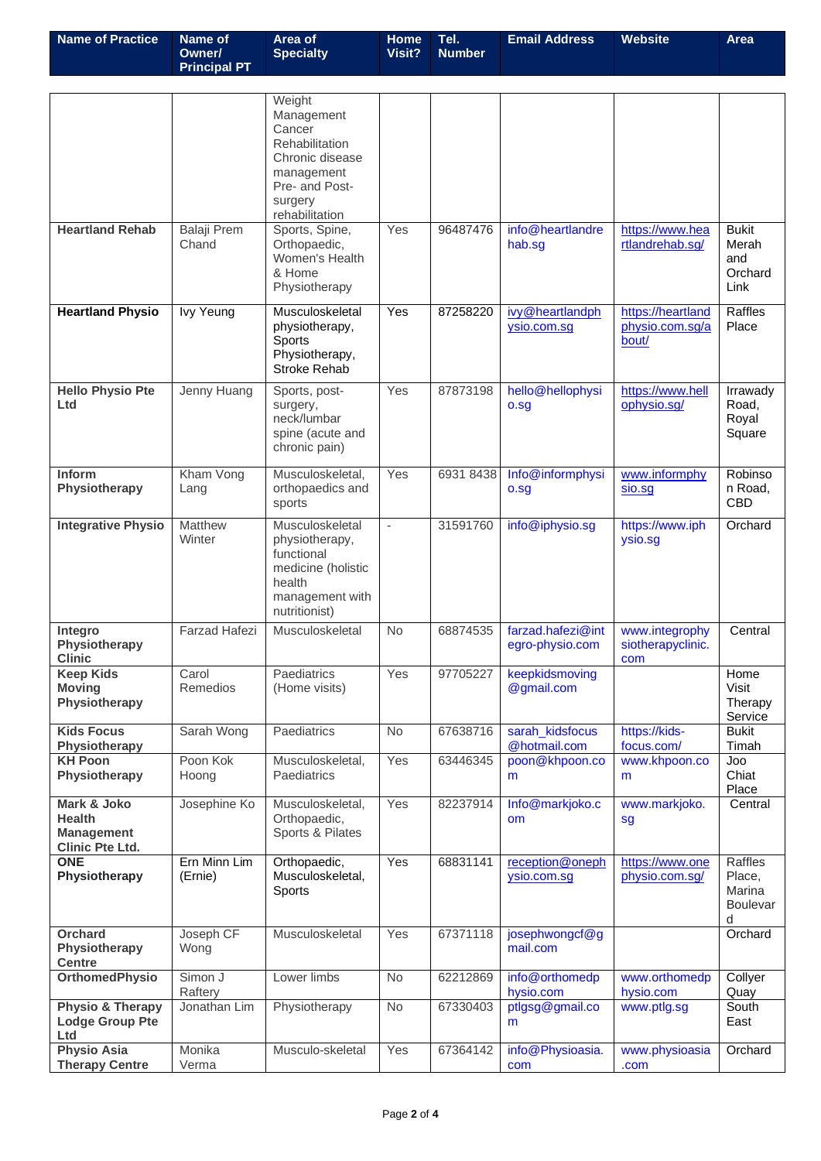| <b>Name of Practice</b>                                                     | Name of<br>Owner/           | Area of<br><b>Specialty</b>                                                                                                      | Home<br>Visit? | Tel.<br><b>Number</b> | <b>Email Address</b>                 | <b>Website</b>                                | <b>Area</b>                                         |
|-----------------------------------------------------------------------------|-----------------------------|----------------------------------------------------------------------------------------------------------------------------------|----------------|-----------------------|--------------------------------------|-----------------------------------------------|-----------------------------------------------------|
|                                                                             | <b>Principal PT</b>         |                                                                                                                                  |                |                       |                                      |                                               |                                                     |
|                                                                             |                             | Weight<br>Management<br>Cancer<br>Rehabilitation<br>Chronic disease<br>management<br>Pre- and Post-<br>surgery<br>rehabilitation |                |                       |                                      |                                               |                                                     |
| <b>Heartland Rehab</b>                                                      | <b>Balaji</b> Prem<br>Chand | Sports, Spine,<br>Orthopaedic,<br>Women's Health<br>& Home<br>Physiotherapy                                                      | Yes            | 96487476              | info@heartlandre<br>hab.sg           | https://www.hea<br>rtlandrehab.sg/            | <b>Bukit</b><br>Merah<br>and<br>Orchard<br>Link     |
| <b>Heartland Physio</b>                                                     | <b>Ivy Yeung</b>            | Musculoskeletal<br>physiotherapy,<br>Sports<br>Physiotherapy,<br>Stroke Rehab                                                    | Yes            | 87258220              | ivy@heartlandph<br>ysio.com.sq       | https://heartland<br>physio.com.sg/a<br>bout/ | Raffles<br>Place                                    |
| <b>Hello Physio Pte</b><br>Ltd                                              | Jenny Huang                 | Sports, post-<br>surgery,<br>neck/lumbar<br>spine (acute and<br>chronic pain)                                                    | Yes            | 87873198              | hello@hellophysi<br>o.sg             | https://www.hell<br>ophysio.sg/               | Irrawady<br>Road,<br>Royal<br>Square                |
| Inform<br>Physiotherapy                                                     | Kham Vong<br>Lang           | Musculoskeletal,<br>orthopaedics and<br>sports                                                                                   | Yes            | 6931 8438             | Info@informphysi<br>o.sg             | www.informphy<br>sio.sg                       | Robinso<br>n Road,<br><b>CBD</b>                    |
| <b>Integrative Physio</b>                                                   | Matthew<br>Winter           | Musculoskeletal<br>physiotherapy,<br>functional<br>medicine (holistic<br>health<br>management with<br>nutritionist)              | L,             | 31591760              | info@iphysio.sg                      | https://www.iph<br>ysio.sg                    | Orchard                                             |
| Integro<br>Physiotherapy<br><b>Clinic</b>                                   | <b>Farzad Hafezi</b>        | Musculoskeletal                                                                                                                  | <b>No</b>      | 68874535              | farzad.hafezi@int<br>egro-physio.com | www.integrophy<br>siotherapyclinic.<br>com    | Central                                             |
| <b>Keep Kids</b><br><b>Moving</b><br>Physiotherapy                          | Carol<br>Remedios           | Paediatrics<br>(Home visits)                                                                                                     | Yes            | 97705227              | keepkidsmoving<br>@gmail.com         |                                               | Home<br>Visit<br>Therapy<br>Service                 |
| <b>Kids Focus</b><br>Physiotherapy                                          | Sarah Wong                  | Paediatrics                                                                                                                      | <b>No</b>      | 67638716              | sarah_kidsfocus<br>@hotmail.com      | https://kids-<br>focus.com/                   | <b>Bukit</b><br>Timah                               |
| <b>KH Poon</b><br>Physiotherapy                                             | Poon Kok<br>Hoong           | Musculoskeletal,<br>Paediatrics                                                                                                  | Yes            | 63446345              | poon@khpoon.co<br>m                  | www.khpoon.co<br>m                            | Joo<br>Chiat<br>Place                               |
| Mark & Joko<br><b>Health</b><br><b>Management</b><br><b>Clinic Pte Ltd.</b> | Josephine Ko                | Musculoskeletal,<br>Orthopaedic,<br>Sports & Pilates                                                                             | Yes            | 82237914              | Info@markjoko.c<br>om                | www.markjoko.<br>sg                           | Central                                             |
| <b>ONE</b><br>Physiotherapy                                                 | Ern Minn Lim<br>(Ernie)     | Orthopaedic,<br>Musculoskeletal,<br>Sports                                                                                       | Yes            | 68831141              | reception@oneph<br>ysio.com.sq       | https://www.one<br>physio.com.sg/             | Raffles<br>Place,<br>Marina<br><b>Boulevar</b><br>d |
| Orchard<br>Physiotherapy<br><b>Centre</b>                                   | Joseph CF<br>Wong           | Musculoskeletal                                                                                                                  | Yes            | 67371118              | josephwongcf@g<br>mail.com           |                                               | Orchard                                             |
| <b>OrthomedPhysio</b>                                                       | Simon J<br>Raftery          | Lower limbs                                                                                                                      | No             | 62212869              | info@orthomedp<br>hysio.com          | www.orthomedp<br>hysio.com                    | Collyer<br>Quay                                     |
| Physio & Therapy<br><b>Lodge Group Pte</b><br>Ltd                           | Jonathan Lim                | Physiotherapy                                                                                                                    | No             | 67330403              | ptlgsg@gmail.co<br>m                 | www.ptlg.sg                                   | South<br>East                                       |
| <b>Physio Asia</b><br><b>Therapy Centre</b>                                 | Monika<br>Verma             | Musculo-skeletal                                                                                                                 | Yes            | 67364142              | info@Physioasia.<br>com              | www.physioasia<br>.com                        | Orchard                                             |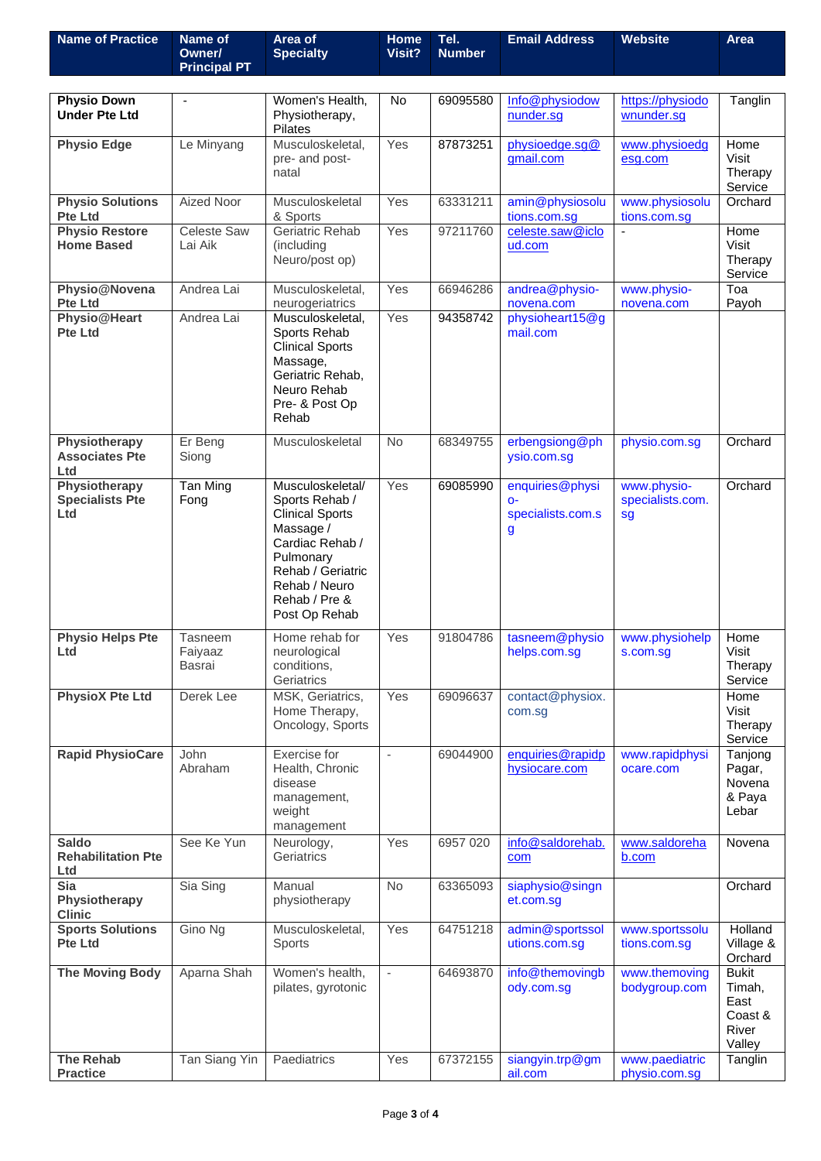| <b>Name of Practice</b>                          | Name of<br>Owner/<br><b>Principal PT</b> | Area of<br><b>Specialty</b>                                                                                                                                                       | Home<br>Visit?           | Tel.<br><b>Number</b> | <b>Email Address</b>                               | <b>Website</b>                        | Area                                                         |
|--------------------------------------------------|------------------------------------------|-----------------------------------------------------------------------------------------------------------------------------------------------------------------------------------|--------------------------|-----------------------|----------------------------------------------------|---------------------------------------|--------------------------------------------------------------|
|                                                  |                                          |                                                                                                                                                                                   |                          |                       |                                                    |                                       |                                                              |
| <b>Physio Down</b><br><b>Under Pte Ltd</b>       |                                          | Women's Health,<br>Physiotherapy,<br><b>Pilates</b>                                                                                                                               | No                       | 69095580              | Info@physiodow<br>nunder.sg                        | https://physiodo<br>wnunder.sg        | Tanglin                                                      |
| <b>Physio Edge</b>                               | Le Minyang                               | Musculoskeletal,<br>pre- and post-<br>natal                                                                                                                                       | Yes                      | 87873251              | physioedge.sg@<br>gmail.com                        | www.physioedg<br>esg.com              | Home<br>Visit<br>Therapy<br>Service                          |
| <b>Physio Solutions</b><br><b>Pte Ltd</b>        | Aized Noor                               | Musculoskeletal<br>& Sports                                                                                                                                                       | Yes                      | 63331211              | amin@physiosolu<br>tions.com.sg                    | www.physiosolu<br>tions.com.sg        | Orchard                                                      |
| <b>Physio Restore</b><br><b>Home Based</b>       | <b>Celeste Saw</b><br>Lai Aik            | Geriatric Rehab<br>(including<br>Neuro/post op)                                                                                                                                   | Yes                      | 97211760              | celeste.saw@iclo<br>ud.com                         |                                       | Home<br>Visit<br>Therapy<br>Service                          |
| Physio@Novena<br><b>Pte Ltd</b>                  | Andrea Lai                               | Musculoskeletal,<br>neurogeriatrics                                                                                                                                               | Yes                      | 66946286              | andrea@physio-<br>novena.com                       | www.physio-<br>novena.com             | Toa<br>Payoh                                                 |
| Physio@Heart<br><b>Pte Ltd</b>                   | Andrea Lai                               | Musculoskeletal,<br>Sports Rehab<br><b>Clinical Sports</b><br>Massage,<br>Geriatric Rehab.<br>Neuro Rehab<br>Pre- & Post Op<br>Rehab                                              | Yes                      | 94358742              | physioheart15@g<br>mail.com                        |                                       |                                                              |
| Physiotherapy<br><b>Associates Pte</b><br>Ltd    | Er Beng<br>Siong                         | Musculoskeletal                                                                                                                                                                   | <b>No</b>                | 68349755              | erbengsiong@ph<br>ysio.com.sg                      | physio.com.sg                         | Orchard                                                      |
| Physiotherapy<br><b>Specialists Pte</b><br>Ltd   | Tan Ming<br>Fong                         | Musculoskeletal/<br>Sports Rehab /<br><b>Clinical Sports</b><br>Massage /<br>Cardiac Rehab /<br>Pulmonary<br>Rehab / Geriatric<br>Rehab / Neuro<br>Rehab / Pre &<br>Post Op Rehab | Yes                      | 69085990              | enquiries@physi<br>$O -$<br>specialists.com.s<br>g | www.physio-<br>specialists.com.<br>sg | Orchard                                                      |
| <b>Physio Helps Pte</b><br>Ltd                   | Tasneem<br>Faiyaaz<br><b>Basrai</b>      | Home rehab for<br>neurological<br>conditions,<br>Geriatrics                                                                                                                       | Yes                      | 91804786              | tasneem@physio<br>helps.com.sg                     | www.physiohelp<br>s.com.sg            | Home<br>Visit<br>Therapy<br>Service                          |
| <b>PhysioX Pte Ltd</b>                           | Derek Lee                                | MSK, Geriatrics,<br>Home Therapy,<br>Oncology, Sports                                                                                                                             | Yes                      | 69096637              | contact@physiox.<br>com.sg                         |                                       | Home<br>Visit<br>Therapy<br>Service                          |
| <b>Rapid PhysioCare</b>                          | John<br>Abraham                          | Exercise for<br>Health, Chronic<br>disease<br>management,<br>weight<br>management                                                                                                 | $\blacksquare$           | 69044900              | enquiries@rapidp<br>hysiocare.com                  | www.rapidphysi<br>ocare.com           | Tanjong<br>Pagar,<br>Novena<br>& Paya<br>Lebar               |
| <b>Saldo</b><br><b>Rehabilitation Pte</b><br>Ltd | See Ke Yun                               | Neurology,<br>Geriatrics                                                                                                                                                          | Yes                      | 6957 020              | info@saldorehab.<br>com                            | www.saldoreha<br>b.com                | Novena                                                       |
| <b>Sia</b><br>Physiotherapy<br><b>Clinic</b>     | Sia Sing                                 | Manual<br>physiotherapy                                                                                                                                                           | No                       | 63365093              | siaphysio@singn<br>et.com.sg                       |                                       | Orchard                                                      |
| <b>Sports Solutions</b><br><b>Pte Ltd</b>        | Gino Ng                                  | Musculoskeletal,<br>Sports                                                                                                                                                        | Yes                      | 64751218              | admin@sportssol<br>utions.com.sg                   | www.sportssolu<br>tions.com.sg        | Holland<br>Village &<br>Orchard                              |
| <b>The Moving Body</b>                           | Aparna Shah                              | Women's health,<br>pilates, gyrotonic                                                                                                                                             | $\overline{\phantom{a}}$ | 64693870              | info@themovingb<br>ody.com.sg                      | www.themoving<br>bodygroup.com        | <b>Bukit</b><br>Timah,<br>East<br>Coast &<br>River<br>Valley |
| <b>The Rehab</b><br><b>Practice</b>              | Tan Siang Yin                            | Paediatrics                                                                                                                                                                       | Yes                      | 67372155              | siangyin.trp@gm<br>ail.com                         | www.paediatric<br>physio.com.sg       | Tanglin                                                      |